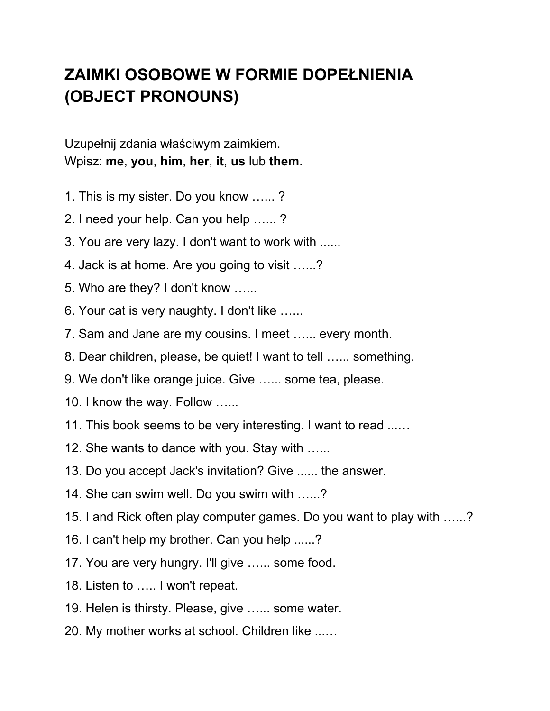## **ZAIMKI OSOBOWE W FORMIE DOPEŁNIENIA (OBJECT PRONOUNS)**

Uzupełnij zdania właściwym zaimkiem. Wpisz: **me**, **you**, **him**, **her**, **it**, **us** lub **them**.

- 1. This is my sister. Do you know …... ?
- 2. I need your help. Can you help …... ?
- 3. You are very lazy. I don't want to work with ......
- 4. Jack is at home. Are you going to visit …...?
- 5. Who are they? I don't know …...
- 6. Your cat is very naughty. I don't like …...
- 7. Sam and Jane are my cousins. I meet …... every month.
- 8. Dear children, please, be quiet! I want to tell …... something.
- 9. We don't like orange juice. Give …... some tea, please.
- 10. I know the way. Follow …...
- 11. This book seems to be very interesting. I want to read ...…
- 12. She wants to dance with you. Stay with …...
- 13. Do you accept Jack's invitation? Give ...... the answer.
- 14. She can swim well. Do you swim with …...?
- 15. I and Rick often play computer games. Do you want to play with …...?
- 16. I can't help my brother. Can you help ......?
- 17. You are very hungry. I'll give …... some food.
- 18. Listen to ….. I won't repeat.
- 19. Helen is thirsty. Please, give ...... some water.
- 20. My mother works at school. Children like ...…